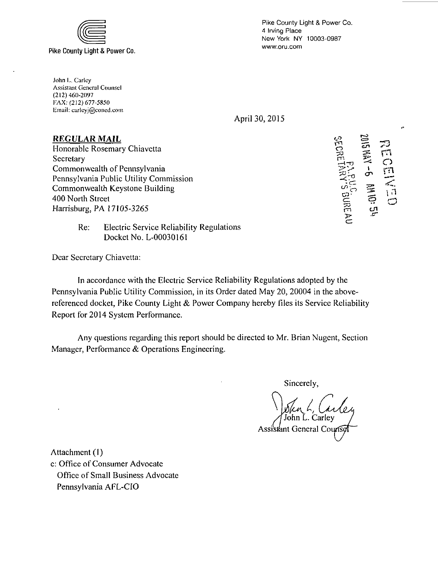

Pike County Light & Power Co. 4 Irving Place New York NY 10003-0987 www.oru.com

John L. Carley Assistant General Counsel (212) 460-2097 TAX: (212)677-5850 limail: citrlcyj@concd.coni

April 30, 2015

## **REGULAR MAIL**

Honorable Rosemary Chiavetta<br>
Secretary<br>
Commonwealth of Pennsylvania<br>
Pennsylvania Public Utility Commission<br>
Commonwealth Keystone Building<br>
400 North Street<br>
200 North Street<br>
2013<br>
2014<br>
2015<br>
2016<br>
2016<br>
2017<br>
2018<br>
2 Secretary  $\tilde{\mathbb{F}}$ ,  $\tilde{\mathbb{F}}$ ,  $\tilde{\mathbb{F}}$   $\tilde{\mathbb{F}}$ Commonwealth of Pennsylvania *Pennsylvania Public Utility Commission -<^2 ~~*  Commonwealth Keystone Building 400 North Street Harrisburg, PA 17105-3265

ENEN **GECRETARY'S GUREAU** 

 $\cdot$ 

Re: Electric Service Reliability Regulations Docket No. L-0003016I

Dear Secretary Chiavetta:

In accordance with the Electric Service Reliability Regulations adopted by the Pennsylvania Public Utility Commission, in its Order dated May 20, 20004 in the abovereferenced docket, Pike County Light & Power Company hereby files its Service Reliability Report for 2014 System Performance.

Any questions regarding this report should be directed to Mr. Brian Nugent, Section Manager, Performance & Operations Engineering.

Sincerely,

J. Carley Assistant General Couns

Attachment (I)

c: Office of Consumer Advocate Office of Small Business Advocate Pennsylvania AFL-CIO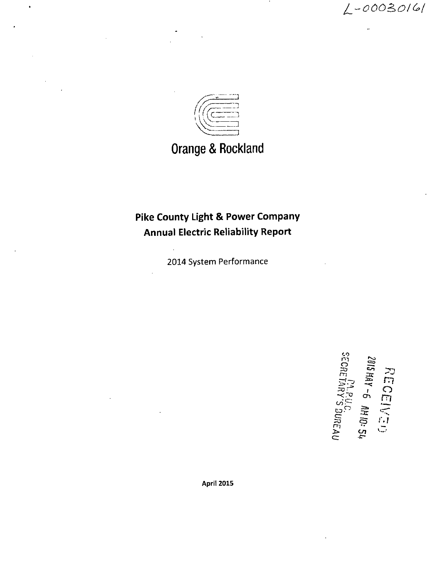

# **Orange & Rockland**

## **Pike County Light & Power Company Annual Electric Reliability Report**

2014 System Performance

ons<br>*a*<br>*distri* rn 3<br>7 1 ECEIL<br>AT-6<br>AT-6<br>IARYS -1—•

April 2015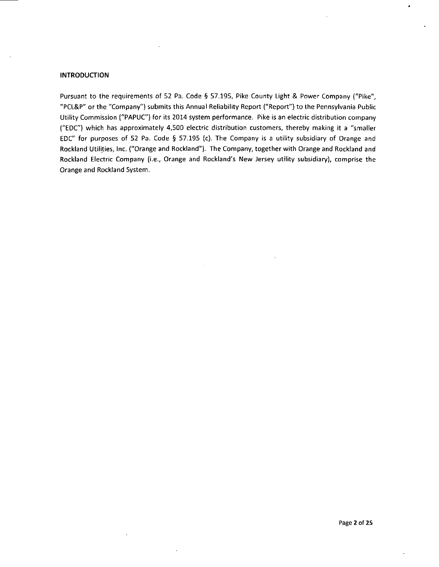## **INTRODUCTION**

Pursuant to the requirements of 52 Pa. Code § 57.195, Pike County Light & Power Company ("Pike", "PCL&P" or the "Company") submits this Annual Reliability Report ("Report") to the Pennsylvania Public Utility Commission ("PAPUC") for its 2014 system performance. Pike is an electric distribution company ("EDC") which has approximately 4,500 electric distribution customers, thereby making it a "smaller EDC" for purposes of 52 Pa. Code § 57.195 (c). The Company is a utility subsidiary of Orange and Rockland Utilities, Inc. ("Orange and Rockland"). The Company, together with Orange and Rockland and Rockland Electric Company (i.e., Orange and Rockland's New Jersey utility subsidiary), comprise the Orange and Rockland System.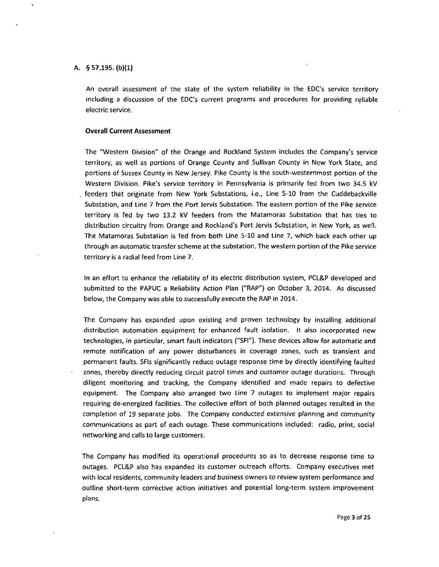## A. §57.195. (b)(1)

An overall assessment of the state of the system reliability in the EDC's service territory including a discussion of the EDC's current programs and procedures for providing reliable electric service.

## **Overall Current Assessment**

The "Western Division" of the Orange and Rockland System includes the Company's service territory, as well as portions of Orange County and Sullivan County in New York State, and portions of Sussex County in New Jersey. Pike County is the south-westernmost portion of the Western Division. Pike's service territory in Pennsylvania is primarily fed from two 34.5 kV . feeders that originate from New York Substations, i.e., Line 5-10 from the Cuddebackville Substation, and Line 7 from the Port Jervis Substation. The eastern portion of the Pike service territory is fed by two 13.2 kV feeders from the Matamoras Substation that has ties to distribution circuitry from Orange and Rockland's Port Jervis Substation, in New York, as well. The Matamoras Substation is fed from both Line 5-10 and Line 7, which back each other up through an automatic transfer scheme at the substation. The western portion of the Pike service territory is a radial feed from Line 7.

In an effort to enhance the reliability of its electric distribution system, PCL&P developed and submitted to the PAPUC a Reliability Action Plan ("RAP") on October 3, 2014. As discussed below, the Company was able to successfully execute the RAP in 2014.

The Company has expanded upon existing and proven technology by installing additional distribution automation equipment for enhanced fault isolation. It also incorporated new technologies, in particular, smart fault indicators ("SFI"). These devices allow for automatic and remote notification of any power disturbances in coverage zones, such as transient and permanent faults. SFIs significantly reduce outage response time by directly identifying faulted zones, thereby directly reducing circuit patrol times and customer outage durations. Through diligent monitoring and tracking, the Company identified and made repairs to defective equipment. The Company also arranged two Line 7 outages to implement major repairs requiring de-energized facilities. The collective effort of both planned outages resulted in the compfetion of 19 separate jobs. The Company conducted extensive planning and community communications as part of each outage. These communications included: radio, print, social networking and calls to large customers.

The Company has modified its operational procedures so as to decrease response time to outages. PCL&P also has expanded its customer outreach efforts. Company executives met with local residents, community leaders and business owners to review system performance and outline short-term corrective action initiatives and potential long-term system improvement plans.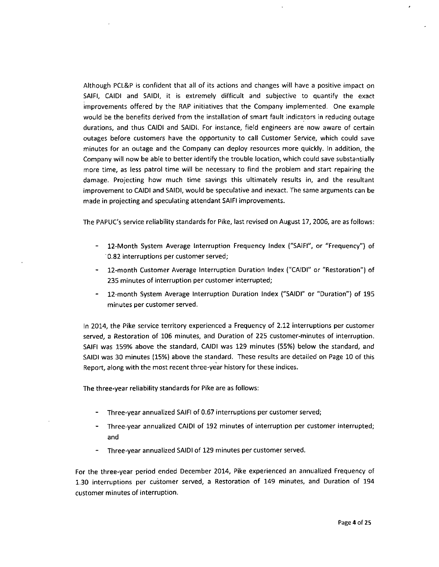Although PCL&P is confident that all of its actions and changes will have a positive impact on SAIFI, CAIDI and SAIDI, it is extremely difficult and subjective to quantify the exact improvements offered by the RAP initiatives that the Company implemented. One example would be the benefits derived from the installation of smart fault indicators in reducing outage durations, and thus CAIDI and SAIDI. For instance, field engineers are now aware of certain outages before customers have the opportunity to call Customer Service, which could save minutes for an outage and the Company can deploy resources more quickly. In addition, the Company will now be able to better identify the trouble location, which could save substantially more time, as less patrol time will be necessary to find the problem and start repairing the damage. Projecting how much time savings this ultimately results in, and the resultant improvement to CAIDI and SAIDI, would be speculative and inexact. The same arguments can be made in projecting and speculating attendant SAIFI improvements.

The PAPUC's service reliability standards for Pike, last revised on August 17, 2006, are as follows:

- 12-Month System Average Interruption Frequency Index ("SAIFI", or "Frequency") of 0.82 interruptions per customer served;
- 12-month Customer Average Interruption Duration Index ("CAIDI" or "Restoration") of 235 minutes of interruption per customer interrupted;
- 12-month System Average Interruption Duration Index ("SAIDI" or "Duration") of 195 minutes per customer served.

In 2014, the Pike service territory experienced a Frequency of 2.12 interruptions per customer served, a Restoration of 106 minutes, and Duration of 225 customer-minutes of interruption. SAIFI was 159% above the standard, CAIDI was 129 minutes (55%) below the standard, and SAIDI was 30 minutes (15%) above the standard. These results are detailed on Page 10 of this Report, along with the most recent three-year history for these indices.

The three-year reliability standards for Pike are as follows:

- Three-year annualized SAIFI of 0.67 interruptions per customer served;
- Three-year annualized CAIDI of 192 minutes of interruption per customer interrupted; and
- Three-year annualized SAIDI of 129 minutes per customer served.

For the three-year period ended December 2014, Pike experienced an annualized Frequency of 1.30 interruptions per customer served, a Restoration of 149 minutes, and Duration of 194 customer minutes of interruption.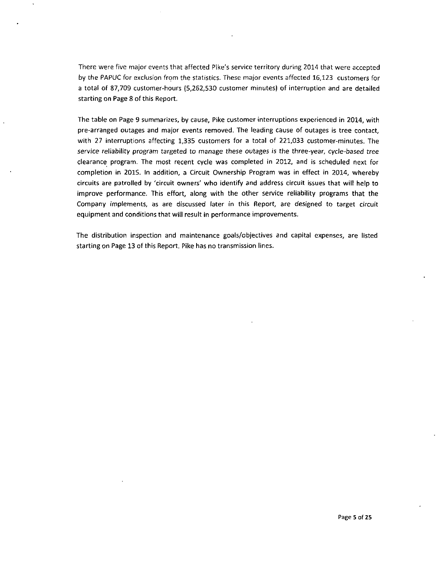There were five major events that affected Pike's service territory during 2014 that were accepted by the PAPUC for exclusion from the statistics. These major events affected 16,123 customers for a total of 87,709 customer-hours (5,262,530 customer minutes) of interruption and are detailed starting on Page 8 of this Report.

The table on Page 9 summarizes, by cause, Pike customer interruptions experienced in 2014, with pre-arranged outages and major events removed. The leading cause of outages is tree contact, with 27 interruptions affecting 1,335 customers for a total of 221,033 customer-minutes. The service reliability program targeted to manage these outages is the three-year, cycle-based tree clearance program. The most recent cycle was completed in 2012, and is scheduled next for completion in 2015. In addition, a Circuit Ownership Program was in effect in 2014, whereby circuits are patrolled by 'circuit owners' who identify and address circuit issues that will help to improve performance. This effort, along with the other service reliability programs that the Company implements, as are discussed later in this Report, are designed to target circuit equipment and conditions that will result in performance improvements.

The distribution inspection and maintenance goals/objectives and capital expenses, are listed starting on Page 13 of this Report. Pike has no transmission lines.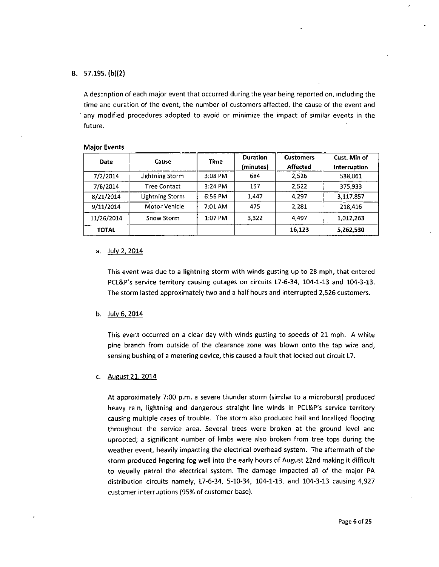## B. 57.195. (b)(2)

A description of each major event that occurred during the year being reported on, including the time and duration of the event, the number of customers affected, the cause of the event and any modified procedures adopted to avoid or minimize the impact of similar events in the future.

#### Major Events

| <b>Date</b> | Cause               | Time    | <b>Duration</b><br>(minutes) | <b>Customers</b><br>Affected | Cust. Min of<br>Interruption |
|-------------|---------------------|---------|------------------------------|------------------------------|------------------------------|
| 7/2/2014    | Lightning Storm     | 3:08 PM | 684                          | 2,526                        | 538.061                      |
| 7/6/2014    | <b>Tree Contact</b> | 3:24 PM | 157                          | 2.522                        | 375.933                      |
| 8/21/2014   | Lightning Storm     | 6:56 PM | 1,447                        | 4,297                        | 3.117,857                    |
| 9/11/2014   | Motor Vehicle       | 7:01 AM | 475                          | 2.281                        | 218,416                      |
| 11/26/2014  | Snow Storm          | 1:07 PM | 3.322                        | 4,497                        | 1.012.263                    |
| TOTAL       |                     |         |                              | 16,123                       | 5,262,530                    |

## a. July 2, 2014

This event was due to a lightning storm with winds gusting up to 28 mph, that entered PCL&P's service territory causing outages on circuits L7-6-34, 104-1-13 and 104-3-13. The storm lasted approximately two and a half hours and interrupted 2,526 customers.

b. July 6. 2Q14

This event occurred on a clear day with winds gusting to speeds of 21 mph. A white pine branch from outside of the clearance zone was blown onto the tap wire and, sensing bushing of a metering device, this caused a fault that locked out circuit L7.

#### c. August 21. 2014

At approximately 7:00 p.m. a severe thunder storm (similar to a microburst) produced heavy rain, lightning and dangerous straight line winds in PCL&P's service territory causing multiple cases of trouble. The storm also produced hail and localized flooding throughout the service area. Several trees were broken at the ground level and uprooted; a significant number of limbs were also broken from tree tops during the weather event, heavily impacting the electrical overhead system. The aftermath of the storm produced lingering fog well into the early hours of August 22nd making it difficult to visually patrol the electrical system. The damage impacted all of the major PA distribution circuits namely, L7-6-34, 5-10-34, 104-1-13, and 104-3-13 causing 4,927 customer interruptions (95% of customer base).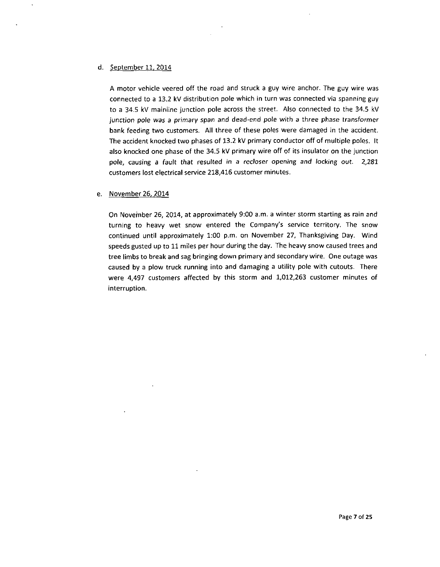## d. September 11, 2Q14

A motor vehicle veered off the road and struck a guy wire anchor. The guy wire was connected to a 13.2 kV distribution pole which in turn was connected via spanning guy to a 34.5 kV mainline junction pole across the street. Also connected to the 34.5 kV junction pole was a primary span and dead-end pole with a three phase transformer bank feeding two customers. All three of these poles were damaged in the accident. The accident knocked two phases of 13.2 kV primary conductor off of multiple poles. It also knocked one phase of the 34.5 kV primary wire off of its insulator on the junction pole, causing a fault that resulted in a recfoser opening and locking out. 2,281 customers lost electrical service 218,416 customer minutes.

## e. November 26, 2014

On November 26, 2014, at approximately 9:00 a.m. a winter storm starting as rain and turning to heavy wet snow entered the Company's service territory. The snow continued until approximately 1:00 p.m. on November 27, Thanksgiving Day. Wind speeds gusted up to 11 miles per hour during the day. The heavy snow caused trees and tree limbs to break and sag bringing down primary and secondary wire. One outage was caused by a plow truck running into and damaging a utility pole with cutouts. There were 4,497 customers affected by this storm and 1,012,263 customer minutes of interruption.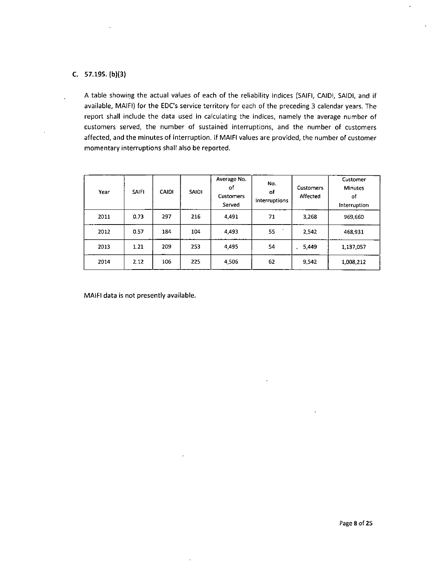## C. 57.195. (b)(3)

A table showing the actual values of each of the reliability indices (SAIFI, CAIDI, SAIDI, and if available, MAIFI) for the EDC's service territory for each of the preceding 3 calendar years. The report shall include the data used in calculating the indices, namely the average number of customers served, the number of sustained interruptions, and the number of customers affected, and the minutes of interruption. If MAIFI values are provided, the number of customer momentary interruptions shall also be reported.

| Year | <b>SAIFI</b> | <b>CAIDI</b> | <b>SAIDI</b> | Average No.<br>of<br>Customers<br>Served | No.<br>of<br>Interruptions | <b>Customers</b><br>Affected | Customer<br><b>Minutes</b><br>of<br>Interruption |
|------|--------------|--------------|--------------|------------------------------------------|----------------------------|------------------------------|--------------------------------------------------|
| 2011 | 0.73         | 297          | 216          | 4,491                                    | 71                         | 3,268                        | 969,660                                          |
| 2012 | 0.57         | 184          | 104          | 4,493                                    | 55                         | 2,542                        | 468,931                                          |
| 2013 | 1.21         | 209          | 253          | 4,495                                    | 54                         | 5,449                        | 1,137,057                                        |
| 2014 | 2.12         | 106          | 225          | 4,506                                    | 62                         | 9,542                        | 1,008,212                                        |

MAIFI data is not presently available.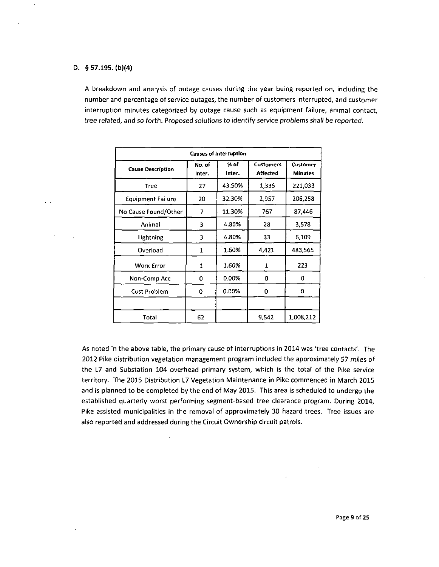## D. § 57.195. (b)(4}

 $\ddot{\phantom{a}}$ 

 $\omega_{\rm{c}}$  ,  $\omega$ 

 $\cdot$ 

A breakdown and analysis of outage causes during the year being reported on, including the number and percentage of service outages, the number of customers interrupted, and customer interruption minutes categorized by outage cause such as equipment failure, animal contact, tree related, and so forth. Proposed solutions to identify service problems shall be reported.

| <b>Causes of Interruption</b> |                  |                |                                     |                                   |  |
|-------------------------------|------------------|----------------|-------------------------------------|-----------------------------------|--|
| <b>Cause Description</b>      | No. of<br>Inter. | % of<br>Inter. | <b>Customers</b><br><b>Affected</b> | <b>Customer</b><br><b>Minutes</b> |  |
| Tree                          | 27               | 43.50%         | 1,335                               | 221,033                           |  |
| <b>Equipment Failure</b>      | 20               | 32.30%         | 2,957                               | 206,258                           |  |
| No Cause Found/Other          | 7                | 11.30%         | 767                                 | 87.446                            |  |
| Animal                        | з                | 4.80%          | 28                                  | 3,578                             |  |
| Lightning                     | 3                | 4.80%          | 33                                  | 6,109                             |  |
| Overload                      | 1                | 1.60%          | 4,421                               | 483,565                           |  |
| Work Error                    | 1                | 1.60%          | 1                                   | 223                               |  |
| Non-Comp Acc                  | 0                | $0.00\%$       | 0                                   | 0                                 |  |
| Cust Problem                  | 0                | 0.00%          | 0                                   | 0                                 |  |
|                               |                  |                |                                     |                                   |  |
| Total                         | 62               |                | 9.542                               | 1,008,212                         |  |

As noted in the above table, the primary cause of interruptions in 2014 was 'tree contacts'. The 2012 Pike distribution vegetation management program included the approximately 57 miles of the L7 and Substation 104 overhead primary system, which is the total of the Pike service territory. The 2015 Distribution L7 Vegetation Maintenance in Pike commenced in March 2015 and is planned to be completed by the end of May 2015. This area is scheduled to undergo the established quarterly worst performing segment-based tree clearance program. During 2014, Pike assisted municipalities in the removal of approximately 30 hazard trees. Tree issues are also reported and addressed during the Circuit Ownership circuit patrols.

 $\sim$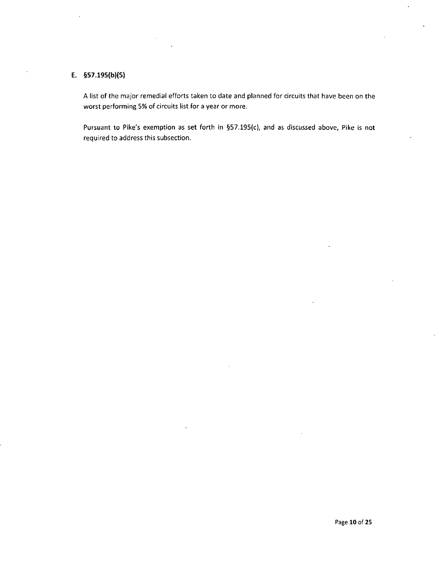## **E. §57.195(b)(5)**

A list of the major remedial efforts taken to date and planned for circuits that have been on the worst performing 5% of circuits list for a year or more.

Pursuant to Pike's exemption as set forth in §57.195(c), and as discussed above, Pike is not required to address this subsection.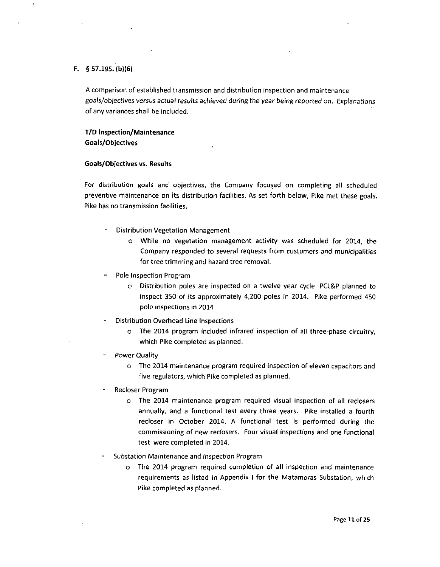## F. § 57.195. (b)(6)

A comparison of established transmission and distribution inspection and maintenance goals/objectives versus actual results achieved during the year being reported on. Explanations of any variances shall be included.

## **T/D Inspection/Maintenance Goals/Objectives**

## **Goals/Objectives vs. Results**

For distribution goals and objectives, the Company focused on completing all scheduled preventive maintenance on its distribution facilities. As set forth below, Pike met these goals. Pike has no transmission facilities.

- Distribution Vegetation Management
	- o While no vegetation management activity was scheduled for 2014, the Company responded to several requests from customers and municipalities for tree trimming and hazard tree removal.
- Pole Inspection Program
	- o Distribution poles are inspected on a twelve year cycle. PCL&P planned to inspect 350 of its approximately 4,200 poles in 2014. Pike performed 450 pole inspections in 2014.
- Distribution Overhead Line Inspections
	- o The 2014 program included infrared inspection of all three-phase circuitry, which Pike completed as planned.
- Power Quality
	- o The 2014 maintenance program required inspection of eleven capacitors and five regulators, which Pike completed as planned.
- Recloser Program
	- o The 2014 maintenance program required visual inspection of all reclosers annually, and a functional test every three years. Pike installed a fourth recloser in October 2014. A functional test is performed during the commissioning of new reclosers. Four visual inspections and one functional test were completed in 2014.
- Substation Maintenance and Inspection Program
	- o The 2014 program required completion of all inspection and maintenance requirements as listed in Appendix I for the Matamoras Substation, which Pike completed as planned.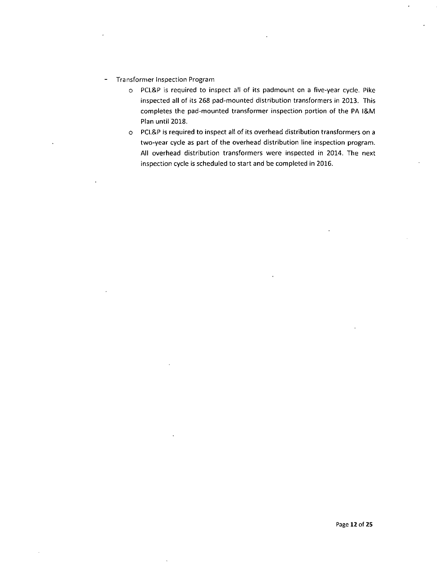- Transformer Inspection Program  $\frac{1}{2}$ 
	- o PCL&P is required to inspect all of its padmount on a five-year cycle. Pike inspected all of its 268 pad-mounted distribution transformers in 2013. This completes the pad-mounted transformer inspection portion of the PA l&M Plan until 2018.
	- o PCL&P is required to inspect all of its overhead distribution transformers on a two-year cycle as part of the overhead distribution line inspection program. All overhead distribution transformers were inspected in 2014. The next inspection cycle is scheduled to start and be completed in 2016.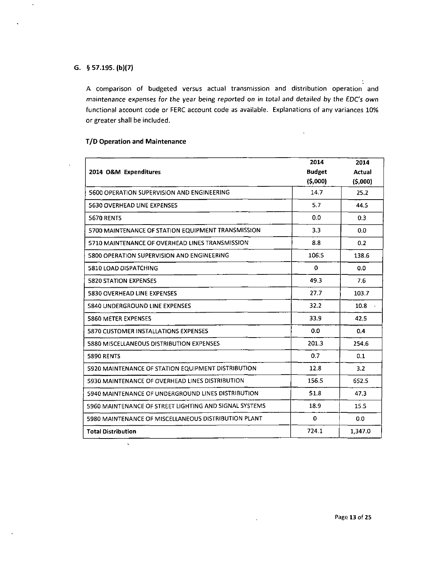## **G. § 57.195. (b)(7)**

 $\hat{\mathbf{v}}$ 

A comparison of budgeted versus actual transmission and distribution operation and maintenance expenses for the year being reported on in total and detailed by the EDC's own functional account code or FERC account code as available. Explanations of any variances 10% or greater shall be included.

## **T/D Operation and Maintenance**

|                                                        | 2014          | 2014          |
|--------------------------------------------------------|---------------|---------------|
| 2014 O&M Expenditures                                  | <b>Budget</b> | <b>Actual</b> |
|                                                        | (5,000)       | (5,000)       |
| 5600 OPERATION SUPERVISION AND ENGINEERING             | 14.7          | 25.2          |
| <b>5630 OVERHEAD LINE EXPENSES</b>                     | 5.7           | 44.5          |
| <b>5670 RENTS</b>                                      | 0.0           | 0.3           |
| 5700 MAINTENANCE OF STATION EQUIPMENT TRANSMISSION     | 3.3           | 0.0           |
| 5710 MAINTENANCE OF OVERHEAD LINES TRANSMISSION        | 8.8           | 0.2           |
| 5800 OPERATION SUPERVISION AND ENGINEERING             | 106.5         | 138.6         |
| 5810 LOAD DISPATCHING                                  | 0             | 0.0           |
| <b>5820 STATION EXPENSES</b>                           | 49.3          | 7.6           |
| <b>5830 OVERHEAD LINE EXPENSES</b>                     | 27.7          | 103.7         |
| 5840 UNDERGROUND LINE EXPENSES                         | 32.2          | 10.8          |
| <b>5860 METER EXPENSES</b>                             | 33.9          | 42.5          |
| 5870 CUSTOMER INSTALLATIONS EXPENSES                   | 0.0           | 0.4           |
| 5880 MISCELLANEOUS DISTRIBUTION EXPENSES               | 201.3         | 254.6         |
| <b>5890 RENTS</b>                                      | 0.7           | 0.1           |
| 5920 MAINTENANCE OF STATION EQUIPMENT DISTRIBUTION     | 12.8          | 3.2           |
| 5930 MAINTENANCE OF OVERHEAD LINES DISTRIBUTION        | 156.5         | 652.5         |
| 5940 MAINTENANCE OF UNDERGROUND LINES DISTRIBUTION     | 51.8          | 47.3          |
| 5960 MAINTENANCE OF STREET LIGHTING AND SIGNAL SYSTEMS | 18.9          | 15.5          |
| 5980 MAINTENANCE OF MISCELLANEOUS DISTRIBUTION PLANT   | 0             | 0.0           |
| <b>Total Distribution</b>                              | 724.1         | 1,347.0       |

 $\ddot{\phantom{a}}$ 

÷

 $\bar{z}$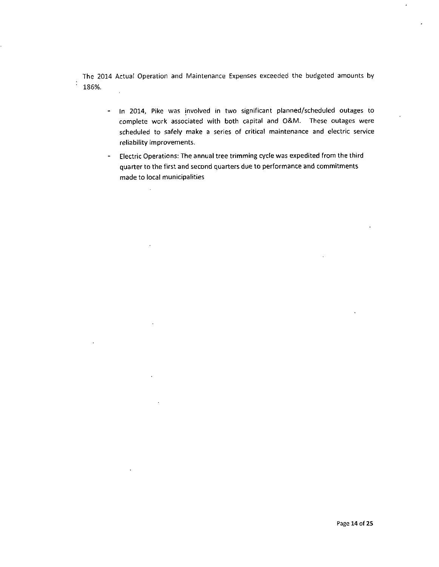The 2014 Actual Operation and Maintenance Expenses exceeded the budgeted amounts by  $\ddot{\cdot}$ 186%.  $\overline{a}$ 

- In 2014, Pike was involved in two significant planned/scheduled outages to complete work associated with both capital and O&M. These outages were scheduled to safely make a series of critical maintenance and electric service reliability improvements.
- Electric Operations: The annual tree trimming cycle was expedited from the third quarter to the first and second quarters due to performance and commitments made to local municipalities

 $\mathcal{L}$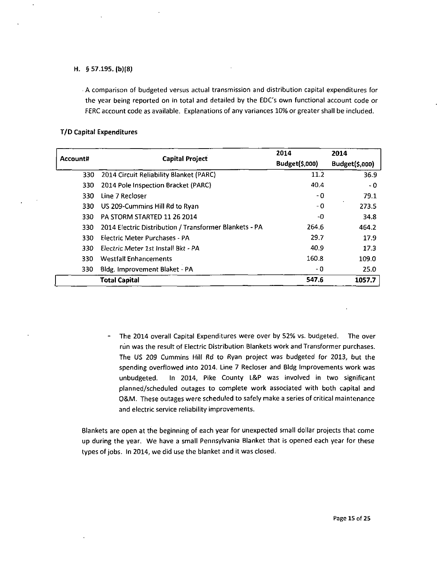## H. § 57.195. (b)(8)

A comparison of budgeted versus actual transmission and distribution capital expenditures for the year being reported on in total and detailed by the EDC's own functional account code or FERC account code as available. Explanations of any variances 10% or greater shall be included.

## **T/D Capital Expenditures**

| Account# | <b>Capital Project</b>                                 | 2014           | 2014           |
|----------|--------------------------------------------------------|----------------|----------------|
|          |                                                        | Budget(\$,000) | Budget(\$,000) |
| 330      | 2014 Circuit Reliability Blanket (PARC)                | 11.2           | 36.9           |
| 330      | 2014 Pole Inspection Bracket (PARC)                    | 40.4           | - 0            |
| 330      | Line 7 Recloser                                        | - 0            | 79.1           |
| 330      | US 209-Cummins Hill Rd to Ryan                         | - 0            | 273.5          |
| 330      | PA STORM STARTED 11 26 2014                            | -0             | 34.8           |
| 330      | 2014 Electric Distribution / Transformer Blankets - PA | 264.6          | 464.2          |
| 330      | Electric Meter Purchases - PA                          | 29.7           | 17.9           |
| 330      | Electric Meter 1st Install Bkt - PA                    | 40.9           | 17.3           |
| 330      | <b>Westfall Enhancements</b>                           | 160.8          | 109.0          |
| 330      | Bldg. Improvement Blaket - PA                          | - 0            | 25.0           |
|          | <b>Total Capital</b>                                   | 547.6          | 1057.7         |

- The 2014 overall Capital Expenditures were over by 52% vs. budgeted. The over run was the result of Electric Distribution Blankets work and Transformer purchases. The US 209 Cummins Hill Rd to Ryan project was budgeted for 2013, but the spending overflowed into 2014. Line 7 Recloser and Bldg Improvements work was unbudgeted. In 2014, Pike County L&P was involved in two significant planned/scheduled outages to complete work associated with both capital and O&M. These outages were scheduled to safely make a series of critical maintenance and electric service reliability improvements.

Blankets are open at the beginning of each year for unexpected small dollar projects that come up during the year. We have a small Pennsylvania Blanket that is opened each year for these types of jobs. In 2014, we did use the blanket and it was closed.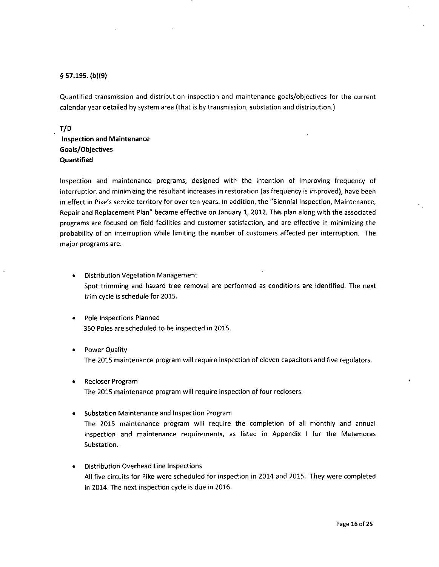## § 57.195. (b)(9)

Quantified transmission and distribution inspection and maintenance goals/objectives for the current calendar year detailed by system area (that is by transmission, substation and distribution.)

## **T/D**

**Inspection and Maintenance Goals/Objectives Quantified** 

Inspection and maintenance programs, designed with the intention of improving frequency of interruption and minimizing the resultant increases in restoration (as frequency is improved), have been in effect in Pike's service territory for over ten years. In addition, the "Biennial Inspection, Maintenance, Repair and Replacement Plan" became effective on January 1, 2012. This plan along with the associated programs are focused on field facilities and customer satisfaction, and are effective in minimizing the probability of an interruption while limiting the number of customers affected per interruption. The major programs are:

- Distribution Vegetation Management Spot trimming and hazard tree removal are performed as conditions are identified. The next trim cycle is schedule for 2015.
- Pole Inspections Planned 350 Poles are scheduled to be inspected in 2015.
- Power Quality The 2015 maintenance program will require inspection of eleven capacitors and five regulators.
- Recloser Program  $\bullet$ The 2015 maintenance program will require inspection of four reclosers.
- Substation Maintenance and Inspection Program  $\bullet$ The 2015 maintenance program will require the completion of all monthly and annual inspection and maintenance requirements, as listed in Appendix I for the Matamoras  $\mathop{\mathsf{Substation}}$  , and an interaction of all monthly and all monthly and annual monthly and annual monthly and annual monthly and annual monthly and annual monthly and annual monthly and annual monthly and annual monthly and a
- **Distribution Overhead Line Inspections** All five circuits for Pike were scheduled for inspection in 2014 and 2015. They were completed in 2014. The next inspection cycle is due in 2016.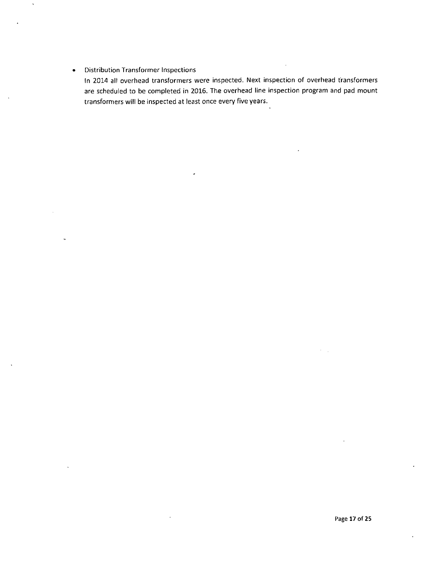#### Distribution Transformer Inspections  $\bullet$

In 2014 all overhead transformers were inspected. Next inspection of overhead transformers are scheduled to be completed in 2016. The overhead line inspection program and pad mount transformers will be inspected at least once every five years.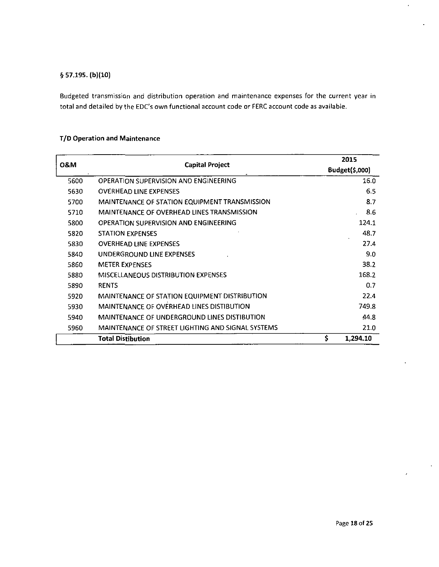## §57.195. (b)(10)

Budgeted transmission and distribution operation and maintenance expenses for the current year in total and detailed by the EDC's own functional account code or FERC account code as available.

## **T/D Operation and Maintenance**

|                |                                                   |    | 2015           |
|----------------|---------------------------------------------------|----|----------------|
| <b>0&amp;M</b> | <b>Capital Project</b>                            |    | Budget(\$,000) |
| 5600           | OPERATION SUPERVISION AND ENGINEERING             |    | 16.0           |
| 5630           | <b>OVERHEAD LINE EXPENSES</b>                     |    | 6.5            |
| 5700           | MAINTENANCE OF STATION EQUIPMENT TRANSMISSION     |    | 8.7            |
| 5710           | <b>MAINTENANCE OF OVERHEAD LINES TRANSMISSION</b> |    | 8.6            |
| 5800           | OPERATION SUPERVISION AND ENGINEERING             |    | 124.1          |
| 5820           | <b>STATION EXPENSES</b>                           |    | 48.7           |
| 5830           | <b>OVERHEAD LINE EXPENSES</b>                     |    | 27.4           |
| 5840           | UNDERGROUND LINE EXPENSES                         |    | 9.0            |
| 5860           | <b>METER EXPENSES</b>                             |    | 38.2           |
| 5880           | MISCELLANEOUS DISTRIBUTION EXPENSES               |    | 168.2          |
| 5890           | <b>RENTS</b>                                      |    | 0.7            |
| 5920           | MAINTENANCE OF STATION EQUIPMENT DISTRIBUTION     |    | 22.4           |
| 5930           | MAINTENANCE OF OVERHEAD LINES DISTIBUTION         |    | 749.8          |
| 5940           | MAINTENANCE OF UNDERGROUND LINES DISTIBUTION      |    | 44.8           |
| 5960           | MAINTENANCE OF STREET LIGHTING AND SIGNAL SYSTEMS |    | 21.0           |
|                | <b>Total Distibution</b>                          | \$ | 1.294.10       |

 $\mathcal{L}^{\pm}$ 

 $\epsilon$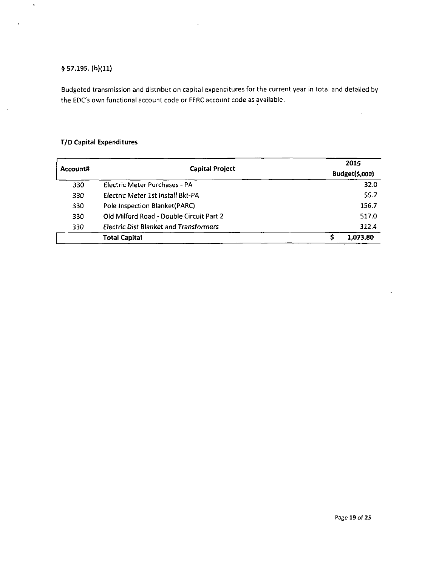## §57.195. (b)(ll)

 $\bullet$ 

 $\bar{\beta}$ 

Budgeted transmission and distribution capital expenditures for the current year in total and detailed by the EDC's own functional account code or FERC account code as available.

## **T/D Capital Expenditures**

| Account# | <b>Capital Project</b>                        | 2015           |
|----------|-----------------------------------------------|----------------|
|          |                                               | Budget(\$,000) |
| 330      | Electric Meter Purchases - PA                 | 32.0           |
| 330      | Electric Meter 1st Install Bkt-PA             | 55.7           |
| 330      | Pole Inspection Blanket(PARC)                 | 156.7          |
| 330      | Old Milford Road - Double Circuit Part 2      | 517.0          |
| 330      | <b>Electric Dist Blanket and Transformers</b> | 312.4          |
|          | <b>Total Capital</b>                          | 1.073.80       |

 $\ddot{\phantom{a}}$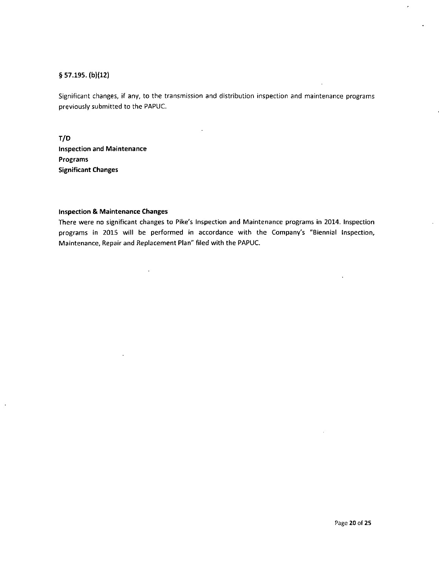## § 57.195. (b)(12)

 $\bar{z}$ 

Significant changes, if any, to the transmission and distribution inspection and maintenance programs previously submitted to the PAPUC.

**T/D Inspection and Maintenance Programs Significant Changes** 

## **Inspection & Maintenance Changes**

 $\epsilon$ 

There were no significant changes to Pike's Inspection and Maintenance programs in 2014. Inspection programs in 2015 will be performed in accordance with the Company's "Biennial Inspection, Maintenance, Repair and Replacement Plan" filed with the PAPUC.

 $\epsilon$ 

 $\ddot{\phantom{a}}$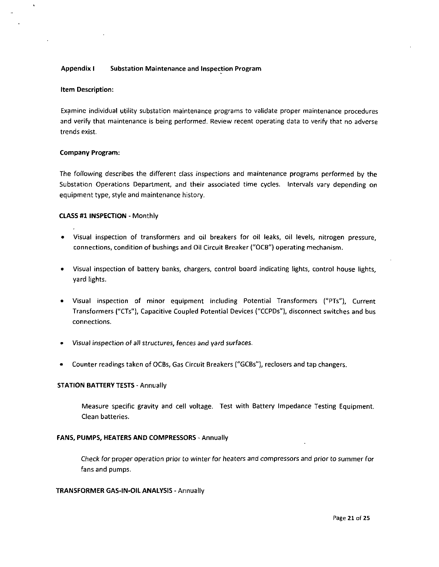## **Appendix I Substation Maintenance and Inspection Program**

#### **Item Description:**

Examine individual utility substation maintenance programs to validate proper maintenance procedures and verify that maintenance is being performed. Review recent operating data to verify that no adverse trends exist.

#### **Company Program:**

The following describes the different class inspections and maintenance programs performed by the Substation Operations Department, and their associated time cycles. Intervals vary depending on equipment type, style and maintenance history.

#### CLASS #1 INSPECTION - Monthly

- Visual inspection of transformers and oil breakers for oil leaks, oil levels, nitrogen pressure, connections, condition of bushings and Oil Circuit Breaker ("OCB") operating mechanism.
- Visual inspection of battery banks, chargers, control board indicating lights, control house lights, yard lights.
- Visual inspection of minor equipment including Potential Transformers ("PTs"), Current Transformers ("CTs"), Capacitive Coupled Potential Devices ("CCPDs"), disconnect switches and bus connections.
- Visual inspection of all structures, fences and yard surfaces.
- Counter readings taken of OCBs, Gas Circuit Breakers ("GCBs"), reclosers and tap changers.

#### STATION BATTERY TESTS - Annually

Measure specific gravity and cell voltage. Test with Battery Impedance Testing Equipment. Clean batteries.

## FANS, PUMPS, HEATERS AND COMPRESSORS - Annually

Check for proper operation prior to winter for heaters and compressors and prior to summer for fans and pumps.

## TRANSFORMER GAS-IN-OIL ANALYSIS - Annually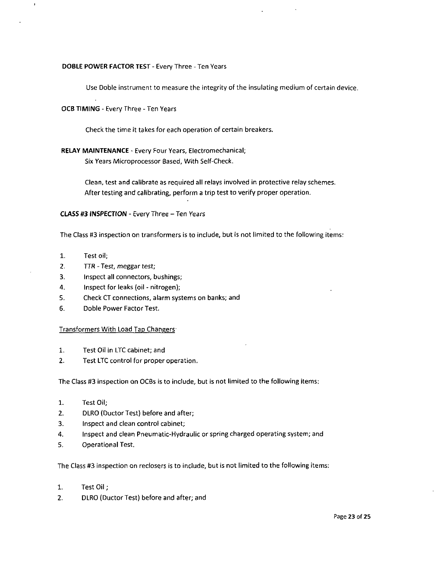## DOBLE POWER FACTOR TEST - Every Three - Ten Years

Use Doble instrument to measure the integrity of the insulating medium of certain device.

## OCB TIMING - Every Three - Ten Years

Check the time it takes for each operation of certain breakers.

## RELAY MAINTENANCE - Every Four Years, Electromechanical; Six Years Microprocessor Based, With Self-Check.

Clean, test and calibrate as required all relays involved in protective relay schemes. After testing and calibrating, perform a trip test to verify proper operation.

CLASS #3 INSPECTION - Every Three - Ten Years

The Class #3 inspection on transformers is to include, but is not limited to the following items:

- 1. Test oil;
- 2. TTR Test, meggar test;
- 3. Inspect all connectors, bushings;
- 4. Inspect for leaks (oil nitrogen);
- 5. Check CT connections, alarm systems on banks; and
- 6. Doble Power Factor Test.

## Transformers With Load Tap Changers-

- 1. Test Oil in LTC cabinet; and
- 2. Test LTC control for proper operation.

The Class #3 inspection on OCBs is to include, but is not limited to the following items:

- 1. Test Oil;
- 2. DLRO (Ductor Test) before and after;
- 3. Inspect and clean control cabinet;
- 4. Inspect and clean Pneumatic-Hydraulic or spring charged operating system; and
- 5. Operational Test.

The Class #3 inspection on reclosers is to include, but is not limited to the following items:

- 1. Test Oil;
- 2. DLRO (Ductor Test) before and after; and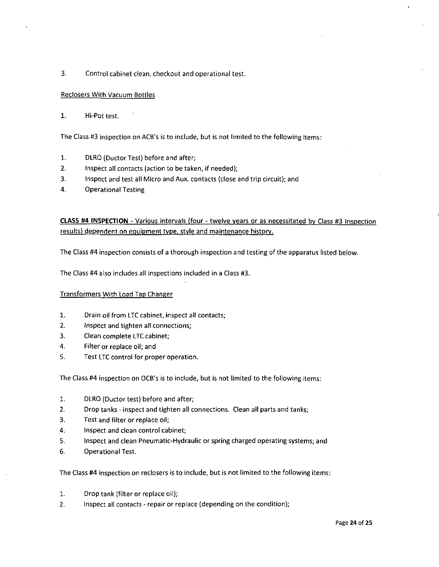3. Control cabinet clean, checkout and operational test.

## Reclosers With Vacuum Bottles

1. Hi-Pot test.

The Class #3 inspection on ACB's is to include, but is not limited to the following items:

- 1. DLRO (Ductor Test) before and after;
- 2. Inspect all contacts (action to be taken, if needed);
- 3. Inspect and test all Micro and Aux. contacts (close and trip circuit); and
- 4. Operational Testing

## CLASS #4 INSPECTION - Various intervals (four - twelve years or as necessitated by Class #3 Inspection results) dependent on equipment type, style and maintenance history.

The Class #4 inspection consists of a thorough inspection and testing of the apparatus listed below.

The Class #4 also includes all inspections included in a Class #3.

## Transformers With Load Tap Changer

- 1. Drain oil from LTC cabinet, inspect all contacts;
- 2. Inspect and tighten all connections;
- 3. Clean complete LTC cabinet;
- 4. Filter or replace oil; and
- 5. Test LTC control for proper operation.

The Class #4 inspection on OCB's is to include, but is not limited to the following items:

- 1. DLRO (Ductor test) before and after;
- 2. Drop tanks inspect and tighten all connections. Clean all parts and tanks;
- 3. Test and filter or replace oil;
- 4. Inspect and clean control cabinet;
- 5. Inspect and clean Pneumatic-Hydraulic or spring charged operating systems; and
- 6. **Operational Test.**

The Class #4 inspection on reclosers is to include, but is not limited to the following items:

- $1.$ Drop tank (filter or replace oil);
- 2. Inspect all contacts repair or replace (depending on the condition);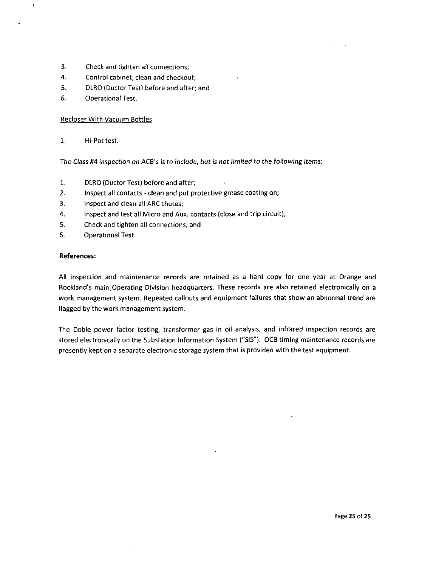- 3. Check and tighten all connections;
- 4. Control cabinet, clean and checkout;
- 5. DLRO (Ductor Test) before and after; and
- 6. Operational Test.

## **Recloser With Vacuum Bottles**

 $1.$ Hi-Pot test.

 $\pmb{\cdot}$ 

..

The Class #4 inspection on ACB's is to include, but is not limited to the following items:

- $1.$ DLRO (Ductor Test) before and after;
- 2. Inspect all contacts clean and put protective grease coating on;
- 3. Inspect and clean all ARC chutes;
- 4. Inspect and test all Micro and Aux. contacts (close and trip circuit);
- 5. Check and tighten all connections; and
- 6. Checational Test.

## **References:**

All inspection and maintenance records are retained as a hard copy for one year at Orange and Rockland's main.Operating Division headquarters. These records are also retained electronically on a work management system. Repeated callouts and equipment failures that show an abnormal trend are flagged by the work management system.

 $\ddot{\phantom{1}}$ 

The Doble power factor testing, transformer gas in oil analysis, and infrared inspection records are stored electronically on the Substation Information System ("SIS"). OCB timing maintenance records are presently kept on a separate electronic storage system that is provided with the test equipment